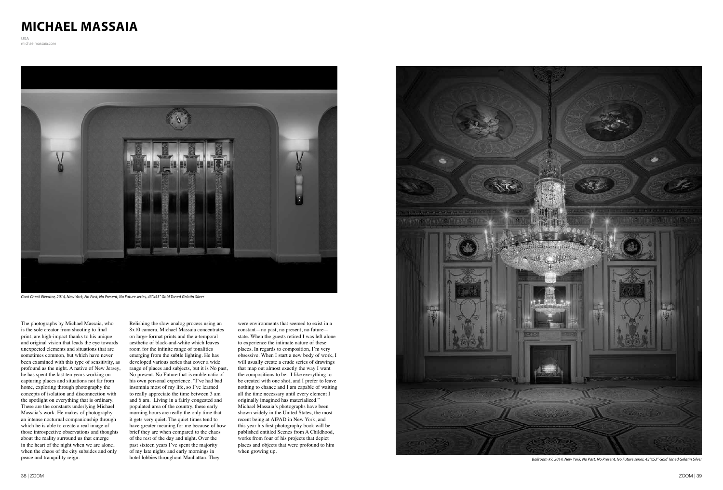## **MICHAEL MASSAIA**

**USA** michaelmassaia.com

The photographs by Michael Massaia, who is the sole creator from shooting to final print, are high-impact thanks to his unique and original vision that leads the eye towards unexpected elements and situations that are sometimes common, but which have never been examined with this type of sensitivity, as profound as the night. A native of New Jersey, he has spent the last ten years working on capturing places and situations not far from home, exploring through photography the concepts of isolation and disconnection with the spotlight on everything that is ordinary. These are the constants underlying Michael Massaia's work. He makes of photography an intense nocturnal companionship through which he is able to create a real image of those introspective observations and thoughts about the reality surround us that emerge in the heart of the night when we are alone, when the chaos of the city subsides and only peace and tranquility reign.

Relishing the slow analog process using an 8x10 camera, Michael Massaia concentrates on large-format prints and the a-temporal aesthetic of black-and-white which leaves room for the infinite range of tonalities emerging from the subtle lighting. He has developed various series that cover a wide range of places and subjects, but it is No past, No present, No Future that is emblematic of his own personal experience. "I've had bad insomnia most of my life, so I've learned to really appreciate the time between 3 am and 6 am. Living in a fairly congested and populated area of the country, these early morning hours are really the only time that it gets very quiet. The quiet times tend to have greater meaning for me because of how brief they are when compared to the chaos of the rest of the day and night. Over the past sixteen years I've spent the majority of my late nights and early mornings in hotel lobbies throughout Manhattan. They

were environments that seemed to exist in a constant—no past, no present, no future state. When the guests retired I was left alone to experience the intimate nature of these places. In regards to composition, I'm very obsessive. When I start a new body of work, I will usually create a crude series of drawings that map out almost exactly the way I want the compositions to be. I like everything to be created with one shot, and I prefer to leave nothing to chance and I am capable of waiting all the time necessary until every element I originally imagined has materialized." Michael Massaia's photographs have been shown widely in the United States, the most recent being at AIPAD in New York, and this year his first photography book will be published entitled Scenes from A Childhood, works from four of his projects that depict places and objects that were profound to him when growing up.





*Coat Check Elevator, 2014, New York, No Past, No Present, No Future series, 43"x53" Gold Toned Gelatin Silver*

*Ballroom #7, 2014, New York, No Past, No Present, No Future series, 43"x53" Gold Toned Gelatin Silver*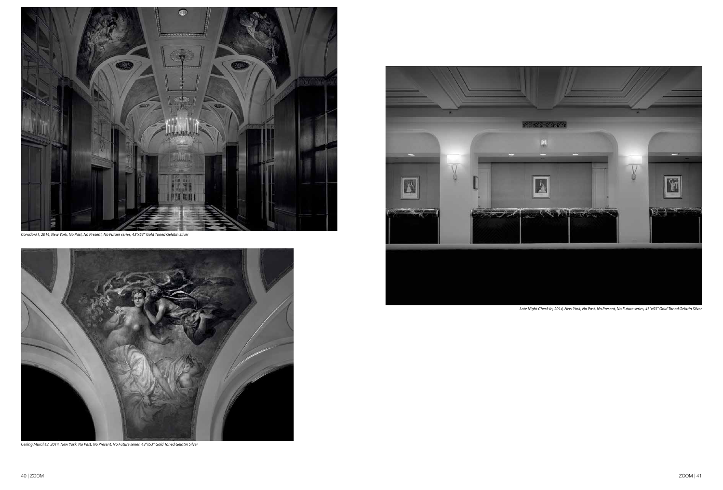

*Corridor#1, 2014, New York, No Past, No Present, No Future series, 43"x53" Gold Toned Gelatin Silver*



*Ceiling Mural #2, 2014, New York, No Past, No Present, No Future series, 43"x53" Gold Toned Gelatin Silver*



*Late Night Check In, 2014, New York, No Past, No Present, No Future series, 43"x53" Gold Toned Gelatin Silver*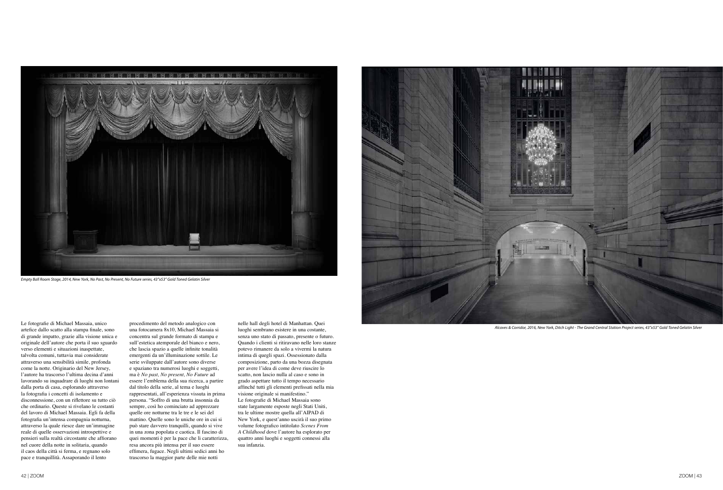Le fotografie di Michael Massaia, unico artefice dallo scatto alla stampa finale, sono di grande impatto, grazie alla visione unica e originale dell'autore che porta il suo sguardo verso elementi e situazioni inaspettate, talvolta comuni, tuttavia mai considerate attraverso una sensibilità simile, profonda come la notte. Originario del New Jersey, l'autore ha trascorso l'ultima decina d'anni lavorando su inquadrare di luoghi non lontani dalla porta di casa, esplorando attraverso la fotografia i concetti di isolamento e disconnessione, con un riflettore su tutto ciò che ordinario. Queste si rivelano le costanti del lavoro di Michael Massaia. Egli fa della fotografia un'intensa compagnia notturna, attraverso la quale riesce dare un'immagine reale di quelle osservazioni introspettive e pensieri sulla realtà circostante che affiorano nel cuore della notte in solitaria, quando il caos della città si ferma, e regnano solo pace e tranquillità. Assaporando il lento

procedimento del metodo analogico con una fotocamera 8x10, Michael Massaia si concentra sul grande formato di stampa e sull'estetica atemporale del bianco e nero, che lascia spazio a quelle infinite tonalità emergenti da un'illuminazione sottile. Le serie sviluppate dall'autore sono diverse e spaziano tra numerosi luoghi e soggetti, ma è *No past, No present, No Future* ad essere l'emblema della sua ricerca, a partire dal titolo della serie, al tema e luoghi rappresentati, all'esperienza vissuta in prima persona. "Soffro di una brutta insonnia da sempre, così ho cominciato ad apprezzare quelle ore notturne tra le tre e le sei del mattino. Quelle sono le uniche ore in cui si può stare davvero tranquilli, quando si vive in una zona popolata e caotica. Il fascino di quei momenti è per la pace che li caratterizza, resa ancora più intensa per il suo essere effimera, fugace. Negli ultimi sedici anni ho trascorso la maggior parte delle mie notti

nelle hall degli hotel di Manhattan. Quei luoghi sembrano esistere in una costante, senza uno stato di passato, presente o futuro. Quando i clienti si ritiravano nelle loro stanze potevo rimanere da solo a vivermi la natura intima di quegli spazi. Ossessionato dalla composizione, parto da una bozza disegnata per avere l'idea di come deve riuscire lo scatto, non lascio nulla al caso e sono in grado aspettare tutto il tempo necessario affinché tutti gli elementi prefissati nella mia visione originale si manifestino." Le fotografie di Michael Massaia sono state largamente esposte negli Stati Uniti, tra le ultime mostre quella all'AIPAD di New York, e quest'anno uscirà il suo primo volume fotografico intitolato *Scenes From A Childhood* dove l'autore ha esplorato per quattro anni luoghi e soggetti connessi alla sua infanzia.





*Empty Ball Room Stage, 2014, New York, No Past, No Present, No Future series, 43"x53" Gold Toned Gelatin Silver*

*Alcoves & Corridor, 2016, New York, Ditch Light - The Grand Central Station Project series, 43"x53" Gold Toned Gelatin Silver*